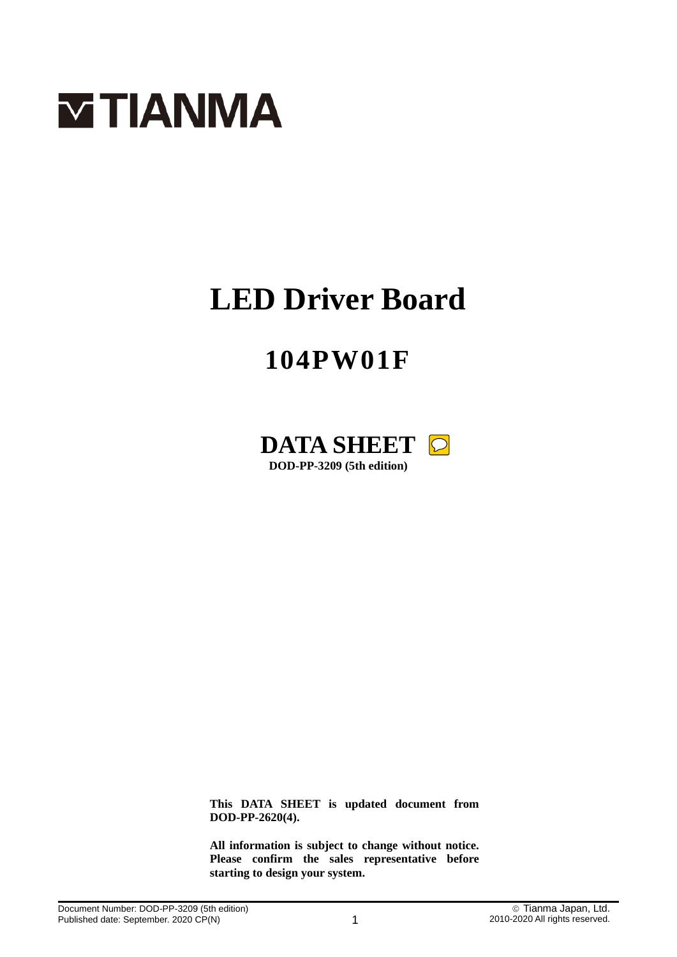

# **LED Driver Board**

# **104PW01F**



**This DATA SHEET is updated document from DOD-PP-2620(4).**

**All information is subject to change without notice. Please confirm the sales representative before starting to design your system.**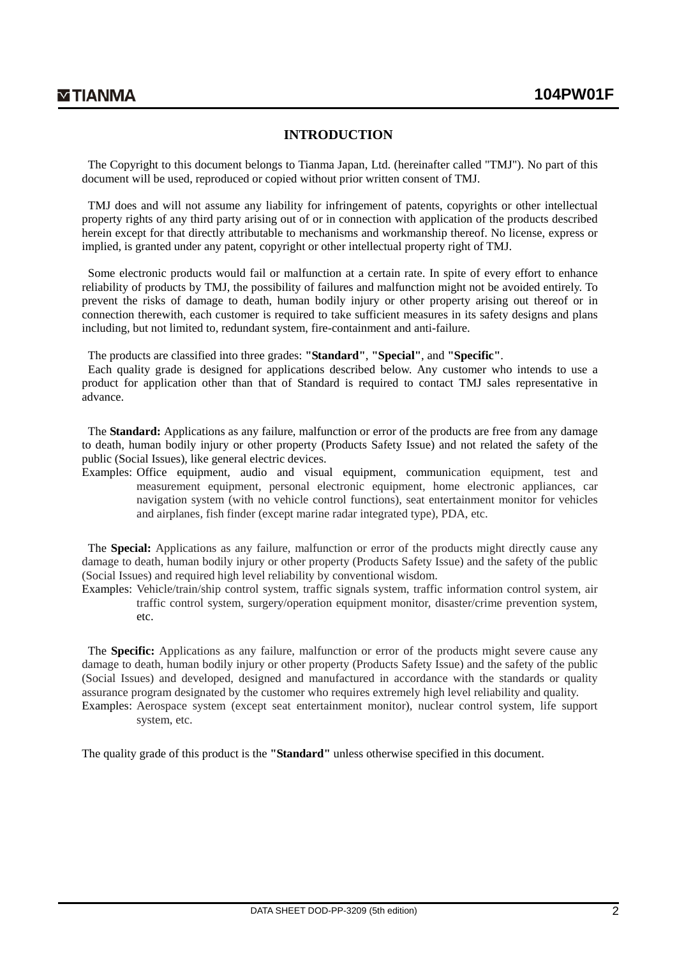### **INTRODUCTION**

The Copyright to this document belongs to Tianma Japan, Ltd. (hereinafter called "TMJ"). No part of this document will be used, reproduced or copied without prior written consent of TMJ.

TMJ does and will not assume any liability for infringement of patents, copyrights or other intellectual property rights of any third party arising out of or in connection with application of the products described herein except for that directly attributable to mechanisms and workmanship thereof. No license, express or implied, is granted under any patent, copyright or other intellectual property right of TMJ.

Some electronic products would fail or malfunction at a certain rate. In spite of every effort to enhance reliability of products by TMJ, the possibility of failures and malfunction might not be avoided entirely. To prevent the risks of damage to death, human bodily injury or other property arising out thereof or in connection therewith, each customer is required to take sufficient measures in its safety designs and plans including, but not limited to, redundant system, fire-containment and anti-failure.

The products are classified into three grades: **"Standard"**, **"Special"**, and **"Specific"**.

Each quality grade is designed for applications described below. Any customer who intends to use a product for application other than that of Standard is required to contact TMJ sales representative in advance.

The **Standard:** Applications as any failure, malfunction or error of the products are free from any damage to death, human bodily injury or other property (Products Safety Issue) and not related the safety of the public (Social Issues), like general electric devices.

Examples: Office equipment, audio and visual equipment, communication equipment, test and measurement equipment, personal electronic equipment, home electronic appliances, car navigation system (with no vehicle control functions), seat entertainment monitor for vehicles and airplanes, fish finder (except marine radar integrated type), PDA, etc.

The **Special:** Applications as any failure, malfunction or error of the products might directly cause any damage to death, human bodily injury or other property (Products Safety Issue) and the safety of the public (Social Issues) and required high level reliability by conventional wisdom.

Examples: Vehicle/train/ship control system, traffic signals system, traffic information control system, air traffic control system, surgery/operation equipment monitor, disaster/crime prevention system, etc.

The **Specific:** Applications as any failure, malfunction or error of the products might severe cause any damage to death, human bodily injury or other property (Products Safety Issue) and the safety of the public (Social Issues) and developed, designed and manufactured in accordance with the standards or quality assurance program designated by the customer who requires extremely high level reliability and quality. Examples: Aerospace system (except seat entertainment monitor), nuclear control system, life support system, etc.

The quality grade of this product is the **"Standard"** unless otherwise specified in this document.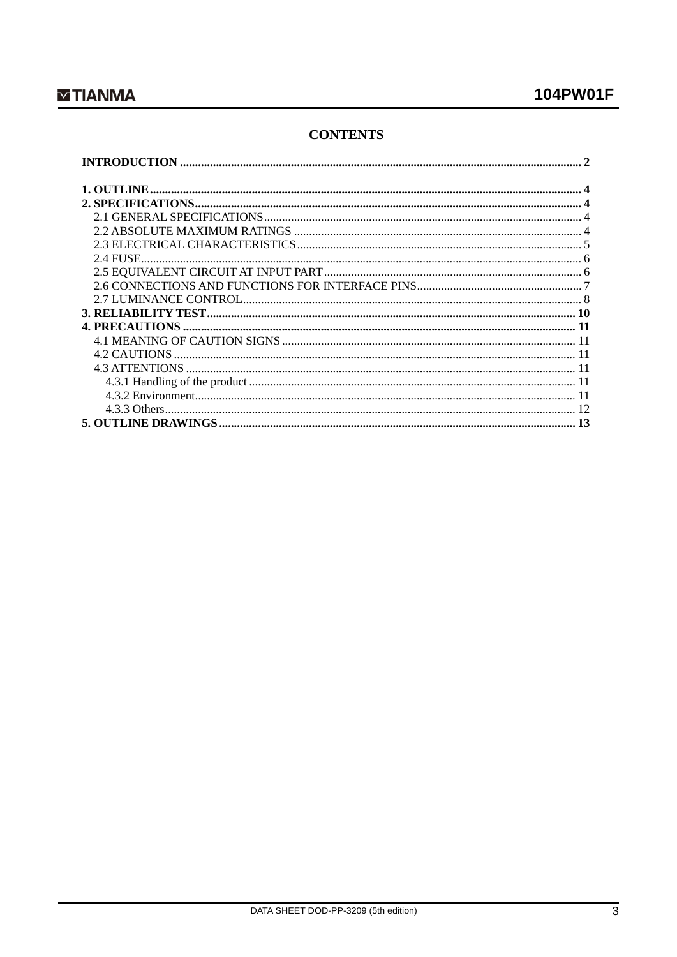# **CONTENTS**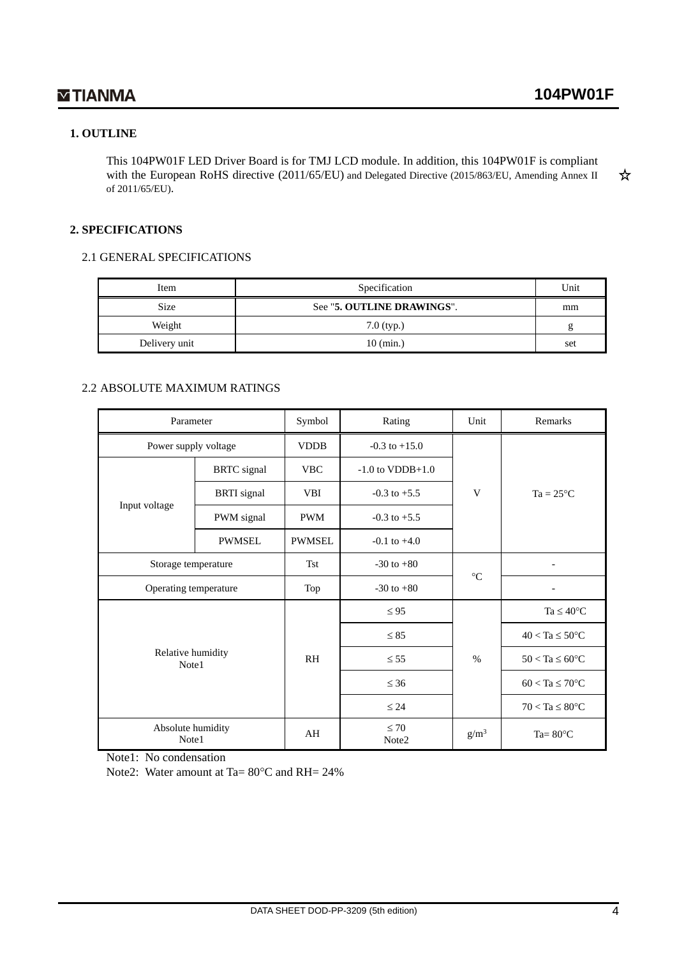### **1. OUTLINE**

This 104PW01F LED Driver Board is for TMJ LCD module. In addition, this 104PW01F is compliant with the European RoHS directive (2011/65/EU) and Delegated Directive (2015/863/EU, Amending Annex II ☆ of 2011/65/EU).

### **2. SPECIFICATIONS**

#### 2.1 GENERAL SPECIFICATIONS

| Item          | Specification              | Unit |
|---------------|----------------------------|------|
| <b>Size</b>   | See "5. OUTLINE DRAWINGS". | mm   |
| Weight        | $7.0$ (typ.)               |      |
| Delivery unit | $10$ (min.)                | set  |

### 2.2 ABSOLUTE MAXIMUM RATINGS

| Parameter                  |                    | Symbol        | Rating                         | Unit             | Remarks                    |
|----------------------------|--------------------|---------------|--------------------------------|------------------|----------------------------|
| Power supply voltage       |                    | <b>VDDB</b>   | $-0.3$ to $+15.0$              |                  |                            |
|                            | <b>BRTC</b> signal | <b>VBC</b>    | $-1.0$ to $VDDB+1.0$           |                  | $Ta = 25^{\circ}C$         |
|                            | <b>BRTI</b> signal | <b>VBI</b>    | $-0.3$ to $+5.5$               | V                |                            |
| Input voltage              | PWM signal         | <b>PWM</b>    | $-0.3$ to $+5.5$               |                  |                            |
|                            | <b>PWMSEL</b>      | <b>PWMSEL</b> | $-0.1$ to $+4.0$               |                  |                            |
| Storage temperature        |                    | <b>Tst</b>    | $-30$ to $+80$                 | $\rm ^{\circ}C$  |                            |
| Operating temperature      |                    | Top           | $-30$ to $+80$                 |                  |                            |
|                            |                    |               | $\leq 95$                      |                  | $Ta \leq 40^{\circ}C$      |
|                            |                    |               | $\leq 85$                      |                  | $40 < Ta \leq 50^{\circ}C$ |
| Relative humidity<br>Note1 |                    | <b>RH</b>     | $\leq 55$                      | $\%$             | $50 < Ta \leq 60^{\circ}C$ |
|                            |                    |               | $\leq 36$                      |                  | $60 < Ta \leq 70^{\circ}C$ |
|                            |                    |               | $\leq 24$                      |                  | $70 < Ta \leq 80^{\circ}C$ |
| Absolute humidity<br>Note1 |                    | AH            | $\leq 70$<br>Note <sub>2</sub> | g/m <sup>3</sup> | Ta= $80^{\circ}$ C         |

Note1: No condensation

Note2: Water amount at Ta= 80°C and RH= 24%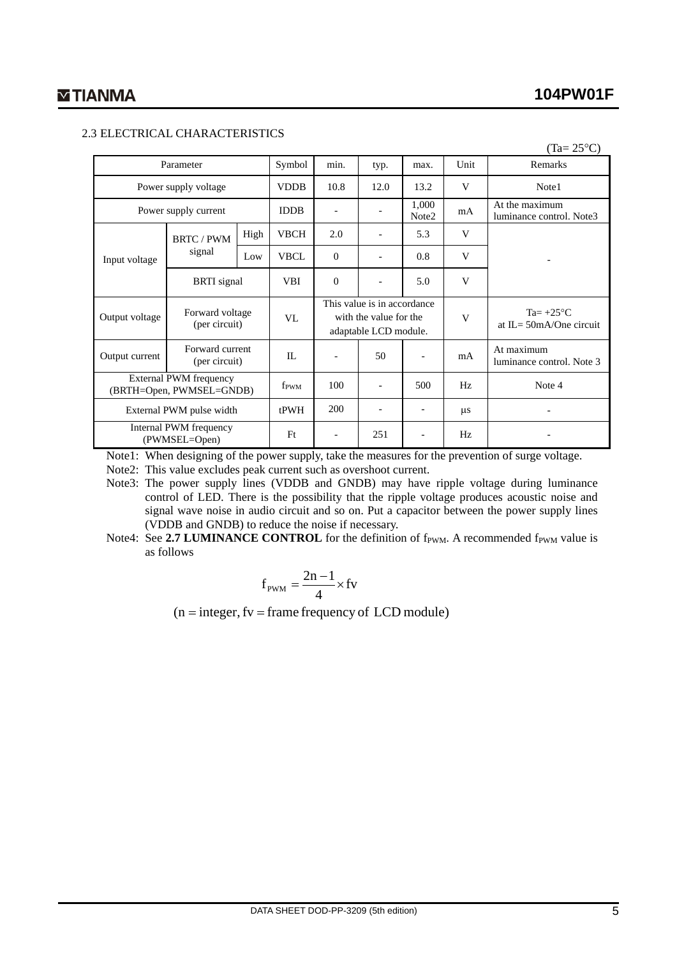$(T_0 - 250C)$ 

### 2.3 ELECTRICAL CHARACTERISTICS

| $(1a - 2J)$                                               |                                  |                  |             |                                                                                |                          |                |                                                   |                                            |
|-----------------------------------------------------------|----------------------------------|------------------|-------------|--------------------------------------------------------------------------------|--------------------------|----------------|---------------------------------------------------|--------------------------------------------|
| Parameter                                                 |                                  | Symbol           | min.        | typ.                                                                           | max.                     | Unit           | Remarks                                           |                                            |
|                                                           | Power supply voltage             |                  | <b>VDDB</b> | 10.8                                                                           | 12.0                     | 13.2           | V                                                 | Note1                                      |
|                                                           | Power supply current             |                  | <b>IDDB</b> | $\overline{a}$                                                                 |                          | 1,000<br>Note2 | mA                                                | At the maximum<br>luminance control. Note3 |
|                                                           | <b>BRTC / PWM</b>                | High             | <b>VBCH</b> | 2.0                                                                            |                          | 5.3            | V                                                 |                                            |
| Input voltage                                             | signal                           | Low              | <b>VBCL</b> | $\Omega$                                                                       |                          | 0.8            | V                                                 |                                            |
|                                                           | <b>BRTI</b> signal               |                  | <b>VBI</b>  | $\mathbf{0}$                                                                   | $\overline{\phantom{a}}$ | 5.0            | V                                                 |                                            |
| Output voltage                                            | Forward voltage<br>(per circuit) |                  | VL          | This value is in accordance<br>with the value for the<br>adaptable LCD module. |                          | V              | Ta= $+25^{\circ}$ C<br>at IL= $50mA/O$ ne circuit |                                            |
| Output current                                            | Forward current<br>(per circuit) |                  | IL          |                                                                                | 50                       |                | mA                                                | At maximum<br>luminance control. Note 3    |
| <b>External PWM</b> frequency<br>(BRTH=Open, PWMSEL=GNDB) |                                  | f <sub>PWM</sub> | 100         | $\overline{\phantom{a}}$                                                       | 500                      | Hz             | Note 4                                            |                                            |
| External PWM pulse width                                  |                                  |                  | tPWH        | 200                                                                            | $\overline{a}$           |                | $\mu$ s                                           |                                            |
| Internal PWM frequency<br>(PWMSEL=Open)                   |                                  | F <sub>t</sub>   |             | 251                                                                            |                          | Hz             |                                                   |                                            |

Note1: When designing of the power supply, take the measures for the prevention of surge voltage.

Note2: This value excludes peak current such as overshoot current.

Note3: The power supply lines (VDDB and GNDB) may have ripple voltage during luminance control of LED. There is the possibility that the ripple voltage produces acoustic noise and signal wave noise in audio circuit and so on. Put a capacitor between the power supply lines (VDDB and GNDB) to reduce the noise if necessary.

Note4: See 2.7 **LUMINANCE CONTROL** for the definition of f<sub>PWM</sub>. A recommended f<sub>PWM</sub> value is as follows

$$
f_{\text{PWM}} = \frac{2n-1}{4} \times fv
$$

 $(n = integer, fv = frame frequency of LCD module)$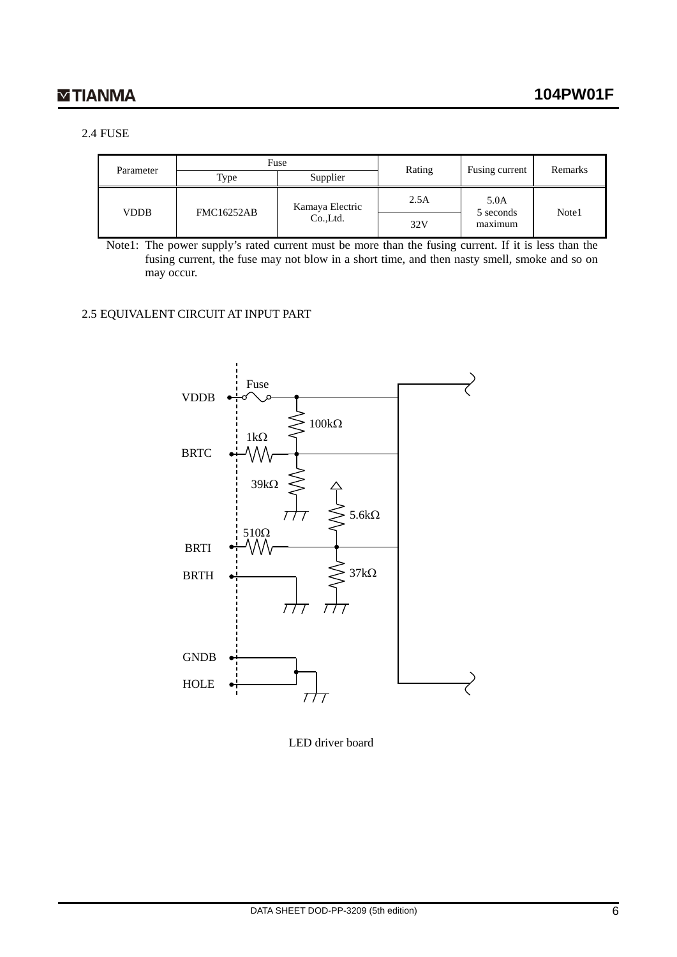### 2.4 FUSE

|             |                   | Fuse            | Rating | Fusing current    | Remarks |
|-------------|-------------------|-----------------|--------|-------------------|---------|
| Parameter   | Type              | Supplier        |        |                   |         |
| <b>VDDB</b> | <b>FMC16252AB</b> | Kamaya Electric | 2.5A   | 5.0A<br>5 seconds | Note1   |
|             |                   | Co.,Ltd.        | 32V    | maximum           |         |

Note1: The power supply's rated current must be more than the fusing current. If it is less than the fusing current, the fuse may not blow in a short time, and then nasty smell, smoke and so on may occur.

#### 2.5 EQUIVALENT CIRCUIT AT INPUT PART



LED driver board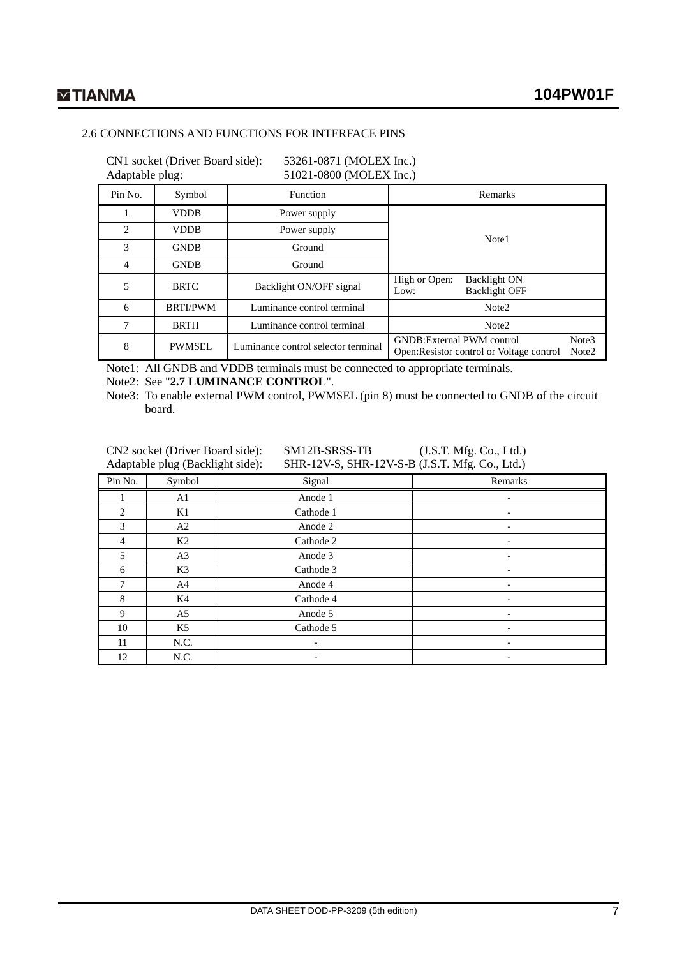### 2.6 CONNECTIONS AND FUNCTIONS FOR INTERFACE PINS

CN1 socket (Driver Board side): 53261-0871 (MOLEX Inc.)<br>Adaptable plug: 51021-0800 (MOLEX Inc.)

51021-0800 (MOLEX Inc.)

| л.             | ັ               |                                     |                                                                                                              |  |  |
|----------------|-----------------|-------------------------------------|--------------------------------------------------------------------------------------------------------------|--|--|
| Pin No.        | Symbol          | Function                            | Remarks                                                                                                      |  |  |
|                | <b>VDDB</b>     | Power supply                        |                                                                                                              |  |  |
| $\mathfrak{D}$ | <b>VDDB</b>     | Power supply                        | Note1                                                                                                        |  |  |
| 3              | <b>GNDB</b>     | Ground                              |                                                                                                              |  |  |
| 4              | <b>GNDB</b>     | Ground                              |                                                                                                              |  |  |
| 5              | <b>BRTC</b>     | Backlight ON/OFF signal             | High or Open:<br>Backlight ON<br><b>Backlight OFF</b><br>Low:                                                |  |  |
| 6              | <b>BRTI/PWM</b> | Luminance control terminal          | Note <sub>2</sub>                                                                                            |  |  |
| 7              | <b>BRTH</b>     | Luminance control terminal          | Note <sub>2</sub>                                                                                            |  |  |
| 8              | <b>PWMSEL</b>   | Luminance control selector terminal | <b>GNDB:</b> External PWM control<br>Note3<br>Open: Resistor control or Voltage control<br>Note <sub>2</sub> |  |  |

Note1: All GNDB and VDDB terminals must be connected to appropriate terminals.

Note2: See "**2.7 LUMINANCE CONTROL**".

Note3: To enable external PWM control, PWMSEL (pin 8) must be connected to GNDB of the circuit board.

CN2 socket (Driver Board side): SM12B-SRSS-TB (J.S.T. Mfg. Co., Ltd.)<br>Adaptable plug (Backlight side): SHR-12V-S, SHR-12V-S-B (J.S.T. Mfg. Co., Ltd.) SHR-12V-S, SHR-12V-S-B (J.S.T. Mfg. Co., Ltd.)

| Pin No. | Symbol         | Signal    | Remarks                  |
|---------|----------------|-----------|--------------------------|
|         | A1             | Anode 1   | $\overline{\phantom{a}}$ |
| 2       | K1             | Cathode 1 | -                        |
| 3       | A2             | Anode 2   |                          |
| 4       | K2             | Cathode 2 |                          |
| 5       | A <sub>3</sub> | Anode 3   |                          |
| 6       | K3             | Cathode 3 | $\overline{\phantom{0}}$ |
| 7       | A4             | Anode 4   |                          |
| 8       | K4             | Cathode 4 |                          |
| 9       | A <sub>5</sub> | Anode 5   |                          |
| 10      | K5             | Cathode 5 |                          |
| 11      | N.C.           |           |                          |
| 12      | N.C.           |           |                          |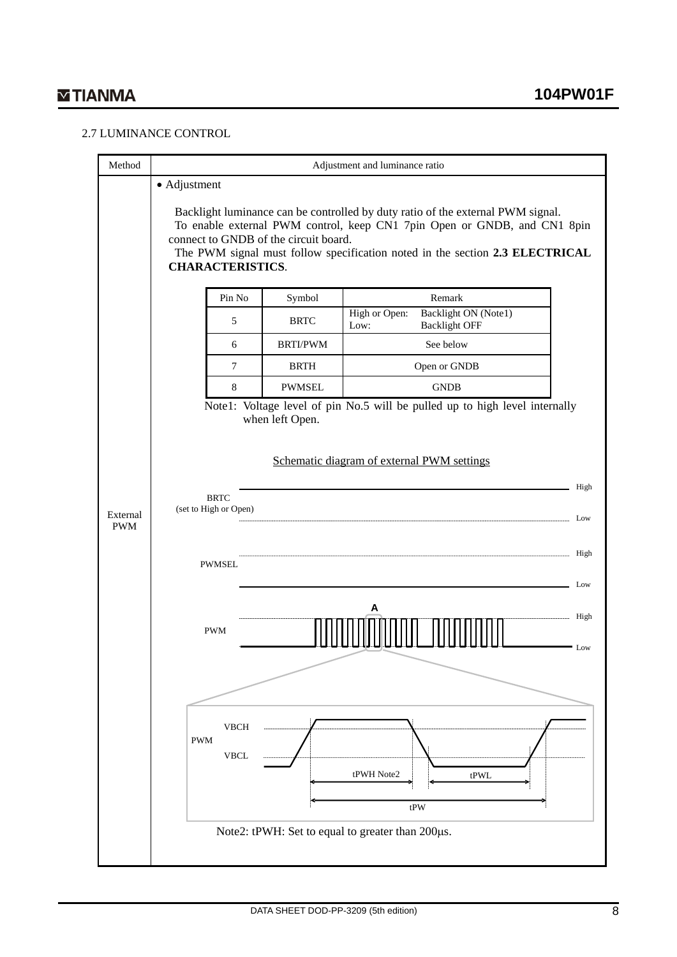### 2.7 LUMINANCE CONTROL

| Adjustment and luminance ratio                                                                                                                       |                 |                                                                                                                                                                                                                                             |  |  |  |
|------------------------------------------------------------------------------------------------------------------------------------------------------|-----------------|---------------------------------------------------------------------------------------------------------------------------------------------------------------------------------------------------------------------------------------------|--|--|--|
| • Adjustment                                                                                                                                         |                 | Backlight luminance can be controlled by duty ratio of the external PWM signal.<br>To enable external PWM control, keep CN1 7pin Open or GNDB, and CN1 8pin<br>The PWM signal must follow specification noted in the section 2.3 ELECTRICAL |  |  |  |
| Pin No                                                                                                                                               | Symbol          | Remark                                                                                                                                                                                                                                      |  |  |  |
| 5                                                                                                                                                    | <b>BRTC</b>     | <b>Backlight ON (Note1)</b><br>High or Open:<br><b>Backlight OFF</b><br>Low:                                                                                                                                                                |  |  |  |
| 6                                                                                                                                                    | <b>BRTI/PWM</b> | See below                                                                                                                                                                                                                                   |  |  |  |
| 7                                                                                                                                                    | <b>BRTH</b>     | Open or GNDB                                                                                                                                                                                                                                |  |  |  |
| 8                                                                                                                                                    | <b>PWMSEL</b>   | <b>GNDB</b>                                                                                                                                                                                                                                 |  |  |  |
| when left Open.<br>Schematic diagram of external PWM settings<br>High<br><b>BRTC</b><br>(set to High or Open)<br>Low<br>High<br><b>PWMSEL</b><br>Low |                 |                                                                                                                                                                                                                                             |  |  |  |
| <b>PWM</b><br><b>VBCH</b><br><b>PWM</b><br><b>VBCL</b>                                                                                               |                 | High<br>Low<br>tPWH Note2<br>tPWL<br>tPW                                                                                                                                                                                                    |  |  |  |
|                                                                                                                                                      |                 | connect to GNDB of the circuit board.<br><b>CHARACTERISTICS.</b><br>Note1: Voltage level of pin No.5 will be pulled up to high level internally<br>Note2: tPWH: Set to equal to greater than 200µs.                                         |  |  |  |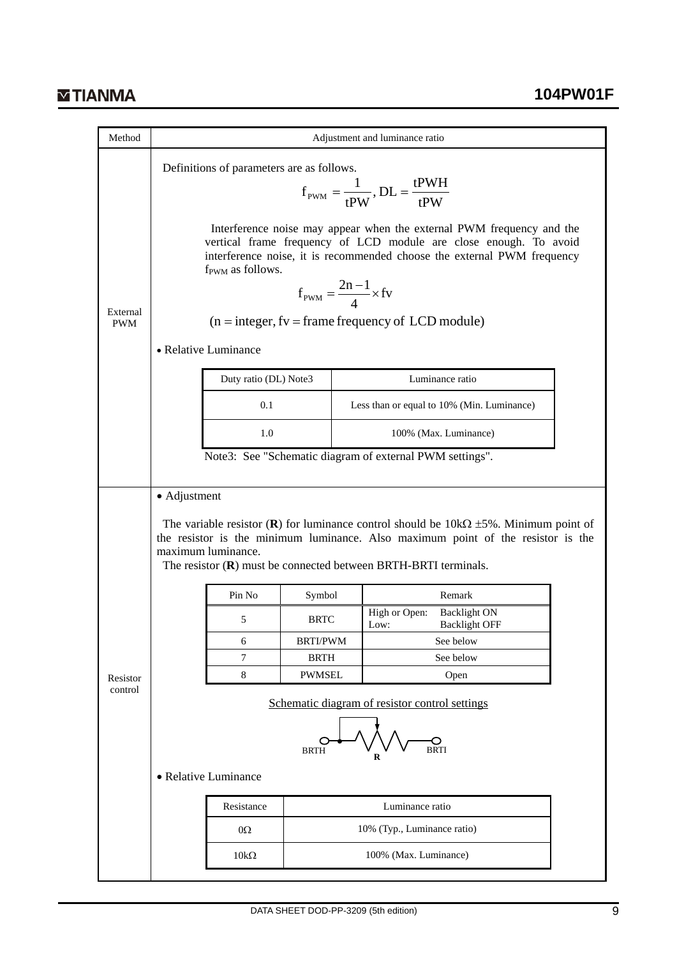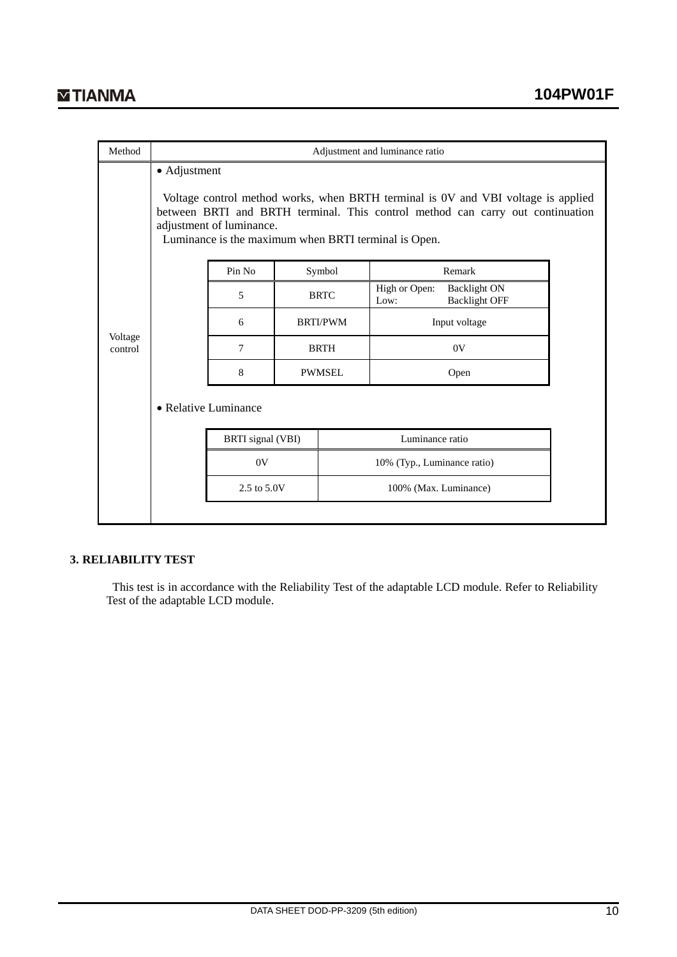| Method             | Adjustment and luminance ratio                                                                                                                                                                                                                                          |                   |                 |                                                                      |  |  |  |  |
|--------------------|-------------------------------------------------------------------------------------------------------------------------------------------------------------------------------------------------------------------------------------------------------------------------|-------------------|-----------------|----------------------------------------------------------------------|--|--|--|--|
|                    | • Adjustment<br>Voltage control method works, when BRTH terminal is 0V and VBI voltage is applied<br>between BRTI and BRTH terminal. This control method can carry out continuation<br>adjustment of luminance.<br>Luminance is the maximum when BRTI terminal is Open. |                   |                 |                                                                      |  |  |  |  |
|                    |                                                                                                                                                                                                                                                                         | Pin No            | Symbol          | Remark                                                               |  |  |  |  |
|                    |                                                                                                                                                                                                                                                                         | 5                 | <b>BRTC</b>     | High or Open:<br><b>Backlight ON</b><br><b>Backlight OFF</b><br>Low: |  |  |  |  |
|                    |                                                                                                                                                                                                                                                                         | 6                 | <b>BRTI/PWM</b> | Input voltage                                                        |  |  |  |  |
| Voltage<br>control |                                                                                                                                                                                                                                                                         | 7                 | <b>BRTH</b>     | 0V                                                                   |  |  |  |  |
|                    |                                                                                                                                                                                                                                                                         | 8                 | <b>PWMSEL</b>   | Open                                                                 |  |  |  |  |
|                    | • Relative Luminance                                                                                                                                                                                                                                                    |                   |                 |                                                                      |  |  |  |  |
|                    |                                                                                                                                                                                                                                                                         | BRTI signal (VBI) |                 | Luminance ratio                                                      |  |  |  |  |
|                    |                                                                                                                                                                                                                                                                         | 0V                |                 | 10% (Typ., Luminance ratio)                                          |  |  |  |  |
|                    |                                                                                                                                                                                                                                                                         | 2.5 to 5.0V       |                 | 100% (Max. Luminance)                                                |  |  |  |  |
|                    |                                                                                                                                                                                                                                                                         |                   |                 |                                                                      |  |  |  |  |

### **3. RELIABILITY TEST**

This test is in accordance with the Reliability Test of the adaptable LCD module. Refer to Reliability Test of the adaptable LCD module.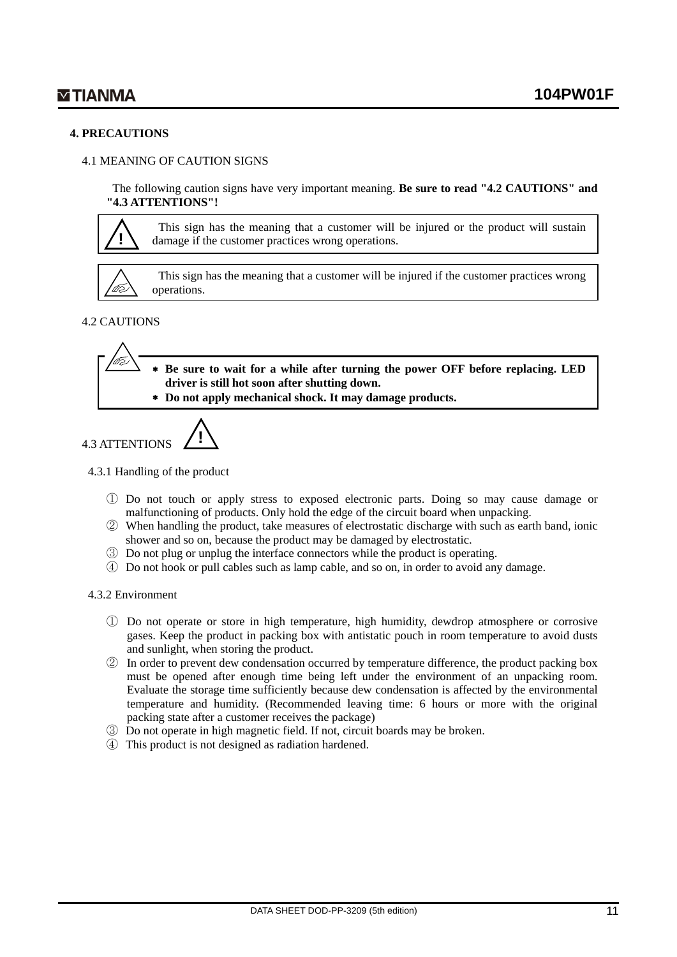#### **4. PRECAUTIONS**

### 4.1 MEANING OF CAUTION SIGNS

The following caution signs have very important meaning. **Be sure to read "4.2 CAUTIONS" and "4.3 ATTENTIONS"!**



This sign has the meaning that a customer will be injured or the product will sustain damage if the customer practices wrong operations.



This sign has the meaning that a customer will be injured if the customer practices wrong operations.

### 4.2 CAUTIONS

**Be sure to wait for a while after turning the power OFF before replacing. LED driver is still hot soon after shutting down.**

∗ **Do not apply mechanical shock. It may damage products.**



#### 4.3.1 Handling of the product

- ① Do not touch or apply stress to exposed electronic parts. Doing so may cause damage or malfunctioning of products. Only hold the edge of the circuit board when unpacking.
- ② When handling the product, take measures of electrostatic discharge with such as earth band, ionic shower and so on, because the product may be damaged by electrostatic.
- ③ Do not plug or unplug the interface connectors while the product is operating.
- ④ Do not hook or pull cables such as lamp cable, and so on, in order to avoid any damage.

#### 4.3.2 Environment

- ① Do not operate or store in high temperature, high humidity, dewdrop atmosphere or corrosive gases. Keep the product in packing box with antistatic pouch in room temperature to avoid dusts and sunlight, when storing the product.
- ② In order to prevent dew condensation occurred by temperature difference, the product packing box must be opened after enough time being left under the environment of an unpacking room. Evaluate the storage time sufficiently because dew condensation is affected by the environmental temperature and humidity. (Recommended leaving time: 6 hours or more with the original packing state after a customer receives the package)
- ③ Do not operate in high magnetic field. If not, circuit boards may be broken.
- ④ This product is not designed as radiation hardened.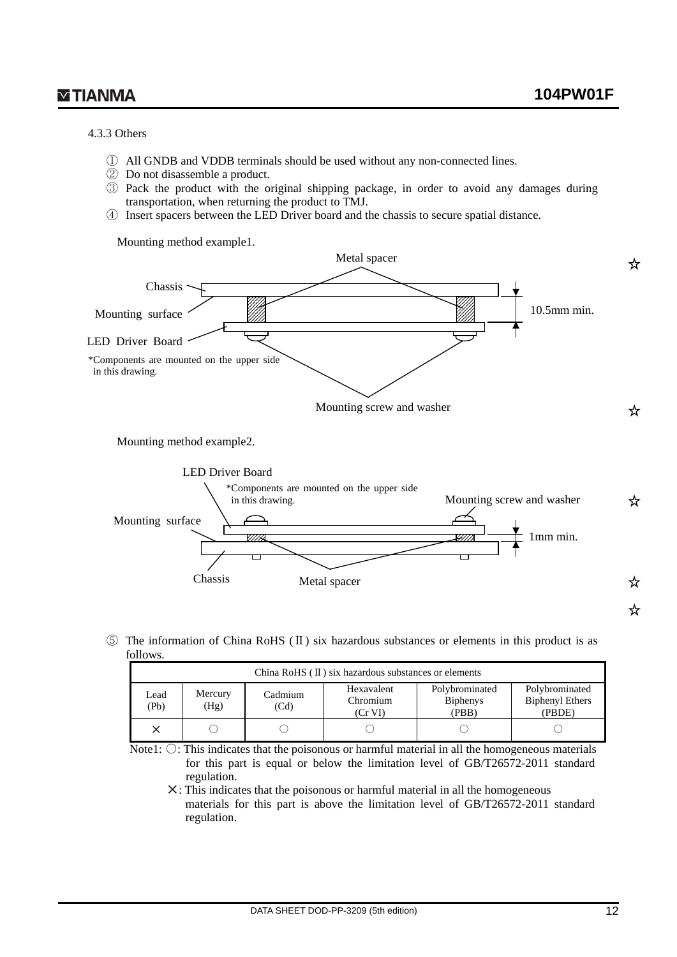#### 4.3.3 Others

- ① All GNDB and VDDB terminals should be used without any non-connected lines.
- ② Do not disassemble a product.
- ③ Pack the product with the original shipping package, in order to avoid any damages during transportation, when returning the product to TMJ.
- ④ Insert spacers between the LED Driver board and the chassis to secure spatial distance.

Mounting method example1.



Mounting method example2.



⑤ The information of China RoHS (Ⅱ) six hazardous substances or elements in this product is as follows.

| China RoHS $(II)$ six hazardous substances or elements |                                                                                                                                                                             |  |  |  |  |  |  |
|--------------------------------------------------------|-----------------------------------------------------------------------------------------------------------------------------------------------------------------------------|--|--|--|--|--|--|
| Lead<br>(Pb)                                           | Polybrominated<br>Polybrominated<br>Hexavalent<br>Mercury<br>Cadmium<br><b>Biphenyl Ethers</b><br>Chromium<br><b>Biphenys</b><br>(Hg)<br>(Cd)<br>(PBB)<br>(Cr VI)<br>(PBDE) |  |  |  |  |  |  |
|                                                        |                                                                                                                                                                             |  |  |  |  |  |  |

Note1:  $\bigcirc$ : This indicates that the poisonous or harmful material in all the homogeneous materials for this part is equal or below the limitation level of GB/T26572-2011 standard regulation.

✕: This indicates that the poisonous or harmful material in all the homogeneous materials for this part is above the limitation level of GB/T26572-2011 standard regulation.

☆